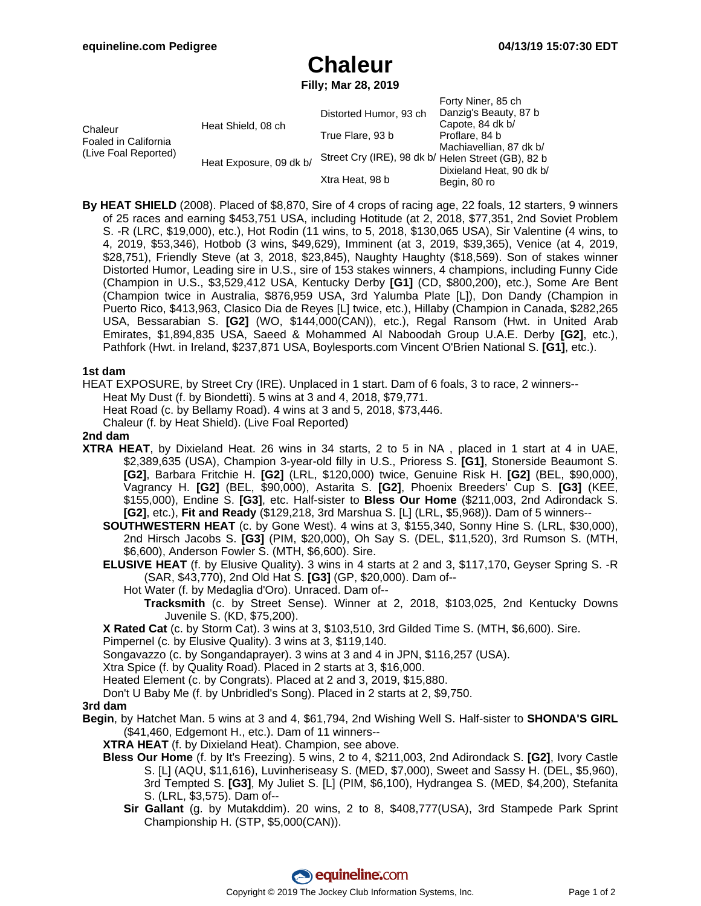# **Chaleur**

**Filly; Mar 28, 2019**

|                                                         |                         | Distorted Humor, 93 ch                             | Forty Niner, 85 ch<br>Danzig's Beauty, 87 b                                                               |
|---------------------------------------------------------|-------------------------|----------------------------------------------------|-----------------------------------------------------------------------------------------------------------|
| Chaleur<br>Foaled in California<br>(Live Foal Reported) | Heat Shield, 08 ch      | True Flare, 93 b                                   | Capote, 84 dk b/<br>Proflare, 84 b<br>Machiavellian, 87 dk b/<br>Dixieland Heat, 90 dk b/<br>Begin, 80 ro |
|                                                         | Heat Exposure, 09 dk b/ | Street Cry (IRE), 98 dk b/ Helen Street (GB), 82 b |                                                                                                           |
|                                                         |                         | Xtra Heat, 98 b                                    |                                                                                                           |

**By HEAT SHIELD** (2008). Placed of \$8,870, Sire of 4 crops of racing age, 22 foals, 12 starters, 9 winners of 25 races and earning \$453,751 USA, including Hotitude (at 2, 2018, \$77,351, 2nd Soviet Problem S. -R (LRC, \$19,000), etc.), Hot Rodin (11 wins, to 5, 2018, \$130,065 USA), Sir Valentine (4 wins, to 4, 2019, \$53,346), Hotbob (3 wins, \$49,629), Imminent (at 3, 2019, \$39,365), Venice (at 4, 2019, \$28,751), Friendly Steve (at 3, 2018, \$23,845), Naughty Haughty (\$18,569). Son of stakes winner Distorted Humor, Leading sire in U.S., sire of 153 stakes winners, 4 champions, including Funny Cide (Champion in U.S., \$3,529,412 USA, Kentucky Derby **[G1]** (CD, \$800,200), etc.), Some Are Bent (Champion twice in Australia, \$876,959 USA, 3rd Yalumba Plate [L]), Don Dandy (Champion in Puerto Rico, \$413,963, Clasico Dia de Reyes [L] twice, etc.), Hillaby (Champion in Canada, \$282,265 USA, Bessarabian S. **[G2]** (WO, \$144,000(CAN)), etc.), Regal Ransom (Hwt. in United Arab Emirates, \$1,894,835 USA, Saeed & Mohammed Al Naboodah Group U.A.E. Derby **[G2]**, etc.), Pathfork (Hwt. in Ireland, \$237,871 USA, Boylesports.com Vincent O'Brien National S. **[G1]**, etc.).

### **1st dam**

HEAT EXPOSURE, by Street Cry (IRE). Unplaced in 1 start. Dam of 6 foals, 3 to race, 2 winners--

Heat My Dust (f. by Biondetti). 5 wins at 3 and 4, 2018, \$79,771.

Heat Road (c. by Bellamy Road). 4 wins at 3 and 5, 2018, \$73,446.

Chaleur (f. by Heat Shield). (Live Foal Reported)

### **2nd dam**

**XTRA HEAT**, by Dixieland Heat. 26 wins in 34 starts, 2 to 5 in NA , placed in 1 start at 4 in UAE, \$2,389,635 (USA), Champion 3-year-old filly in U.S., Prioress S. **[G1]**, Stonerside Beaumont S. **[G2]**, Barbara Fritchie H. **[G2]** (LRL, \$120,000) twice, Genuine Risk H. **[G2]** (BEL, \$90,000), Vagrancy H. **[G2]** (BEL, \$90,000), Astarita S. **[G2]**, Phoenix Breeders' Cup S. **[G3]** (KEE, \$155,000), Endine S. **[G3]**, etc. Half-sister to **Bless Our Home** (\$211,003, 2nd Adirondack S. **[G2]**, etc.), **Fit and Ready** (\$129,218, 3rd Marshua S. [L] (LRL, \$5,968)). Dam of 5 winners--

**SOUTHWESTERN HEAT** (c. by Gone West). 4 wins at 3, \$155,340, Sonny Hine S. (LRL, \$30,000), 2nd Hirsch Jacobs S. **[G3]** (PIM, \$20,000), Oh Say S. (DEL, \$11,520), 3rd Rumson S. (MTH, \$6,600), Anderson Fowler S. (MTH, \$6,600). Sire.

- **ELUSIVE HEAT** (f. by Elusive Quality). 3 wins in 4 starts at 2 and 3, \$117,170, Geyser Spring S. -R (SAR, \$43,770), 2nd Old Hat S. **[G3]** (GP, \$20,000). Dam of--
	- Hot Water (f. by Medaglia d'Oro). Unraced. Dam of--
		- **Tracksmith** (c. by Street Sense). Winner at 2, 2018, \$103,025, 2nd Kentucky Downs Juvenile S. (KD, \$75,200).

**X Rated Cat** (c. by Storm Cat). 3 wins at 3, \$103,510, 3rd Gilded Time S. (MTH, \$6,600). Sire.

Pimpernel (c. by Elusive Quality). 3 wins at 3, \$119,140.

Songavazzo (c. by Songandaprayer). 3 wins at 3 and 4 in JPN, \$116,257 (USA).

Xtra Spice (f. by Quality Road). Placed in 2 starts at 3, \$16,000.

Heated Element (c. by Congrats). Placed at 2 and 3, 2019, \$15,880.

Don't U Baby Me (f. by Unbridled's Song). Placed in 2 starts at 2, \$9,750.

### **3rd dam**

**Begin**, by Hatchet Man. 5 wins at 3 and 4, \$61,794, 2nd Wishing Well S. Half-sister to **SHONDA'S GIRL** (\$41,460, Edgemont H., etc.). Dam of 11 winners--

**XTRA HEAT** (f. by Dixieland Heat). Champion, see above.

- **Bless Our Home** (f. by It's Freezing). 5 wins, 2 to 4, \$211,003, 2nd Adirondack S. **[G2]**, Ivory Castle S. [L] (AQU, \$11,616), Luvinheriseasy S. (MED, \$7,000), Sweet and Sassy H. (DEL, \$5,960), 3rd Tempted S. **[G3]**, My Juliet S. [L] (PIM, \$6,100), Hydrangea S. (MED, \$4,200), Stefanita S. (LRL, \$3,575). Dam of--
	- **Sir Gallant** (g. by Mutakddim). 20 wins, 2 to 8, \$408,777(USA), 3rd Stampede Park Sprint Championship H. (STP, \$5,000(CAN)).